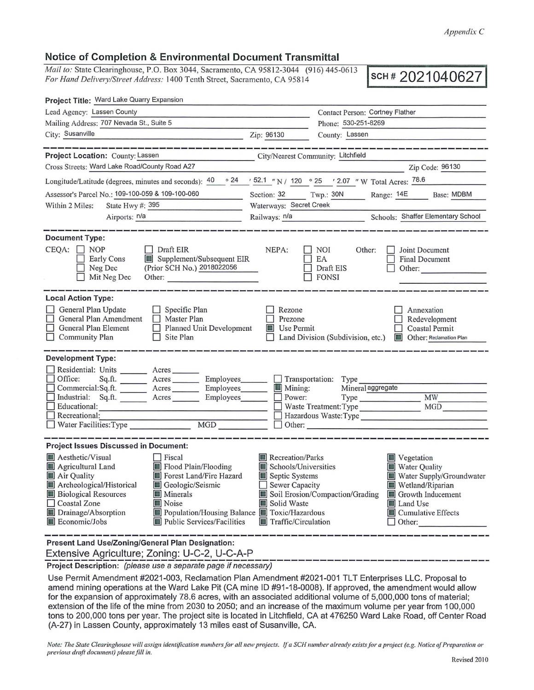## **Notice of Completion & Environmental Document Transmittal**

*Mail to:* State Clearinghouse, P.O. Box 3044, Sacramento, CA 95812-3044 (916) 445-0613 *For Hand Delivery/Street Address:* 1400 Tenth Street, Sacramento, CA 95814 **SCH # 2021040627** 

| Project Title: Ward Lake Quarry Expansion                                                                                                                                                                                                                                                                                                                                       |                                                                                                                                                  |                                                      |                                                                                                                                                                                   |
|---------------------------------------------------------------------------------------------------------------------------------------------------------------------------------------------------------------------------------------------------------------------------------------------------------------------------------------------------------------------------------|--------------------------------------------------------------------------------------------------------------------------------------------------|------------------------------------------------------|-----------------------------------------------------------------------------------------------------------------------------------------------------------------------------------|
| Lead Agency: Lassen County                                                                                                                                                                                                                                                                                                                                                      |                                                                                                                                                  | Contact Person: Cortney Flather                      |                                                                                                                                                                                   |
| Mailing Address: 707 Nevada St., Suite 5                                                                                                                                                                                                                                                                                                                                        |                                                                                                                                                  | Phone: 530-251-8269                                  |                                                                                                                                                                                   |
| City: Susanville<br>Zip: 96130                                                                                                                                                                                                                                                                                                                                                  |                                                                                                                                                  | County: Lassen                                       |                                                                                                                                                                                   |
| <u>standard ar an an de an an an an an</u>                                                                                                                                                                                                                                                                                                                                      |                                                                                                                                                  |                                                      |                                                                                                                                                                                   |
| Project Location: County: Lassen<br>City/Nearest Community: Litchfield                                                                                                                                                                                                                                                                                                          |                                                                                                                                                  |                                                      |                                                                                                                                                                                   |
| Cross Streets: Ward Lake Road/County Road A27                                                                                                                                                                                                                                                                                                                                   |                                                                                                                                                  |                                                      | Zip Code: 96130                                                                                                                                                                   |
| Longitude/Latitude (degrees, minutes and seconds): $40 \times 24$ / 52.1 "N / 120 $\times 25$ / 2.07 "W Total Acres: 78.6                                                                                                                                                                                                                                                       |                                                                                                                                                  |                                                      |                                                                                                                                                                                   |
| Assessor's Parcel No.: 109-100-059 & 109-100-060                                                                                                                                                                                                                                                                                                                                | Section: 32                                                                                                                                      | Twp.: 30N                                            | Range: 14E Base: MDBM                                                                                                                                                             |
| State Hwy #: 395<br>Within 2 Miles:                                                                                                                                                                                                                                                                                                                                             | Waterways: Secret Creek                                                                                                                          |                                                      |                                                                                                                                                                                   |
| Airports: n/a<br>the control of the control of the control of the control of the control of                                                                                                                                                                                                                                                                                     |                                                                                                                                                  |                                                      | Railways: n/a<br>Schools: Shaffer Elementary School                                                                                                                               |
| <b>Document Type:</b><br>$CEOA: \Box NOP$<br>Draft EIR<br>Supplement/Subsequent EIR<br><b>Early Cons</b><br>(Prior SCH No.) 2018022056<br>Neg Dec<br>Mit Neg Dec<br>Other:                                                                                                                                                                                                      | NEPA:                                                                                                                                            | NOI<br>Other:<br>EA<br>Draft EIS<br>FONSI            | Joint Document<br><b>Final Document</b><br>Other:                                                                                                                                 |
| <b>Local Action Type:</b><br>General Plan Update<br>$\Box$ Specific Plan<br>General Plan Amendment □ Master Plan<br>General Plan Element<br>Planned Unit Development<br>$\Box$ Site Plan<br>$\Box$ Community Plan                                                                                                                                                               | Rezone<br>Prezone<br><b>Use Permit</b>                                                                                                           |                                                      | Annexation<br>Redevelopment<br>Coastal Permit<br>Land Division (Subdivision, etc.) <b>In Other: Reclamation Plan</b>                                                              |
| <b>Development Type:</b>                                                                                                                                                                                                                                                                                                                                                        |                                                                                                                                                  |                                                      |                                                                                                                                                                                   |
| Residential: Units ________ Acres ______<br>Office:<br>Sq.ft. ________ Acres _________ Employees _______ __ Transportation: Type<br>Commercial:Sq.ft. ________ Acres _________ Employees_______<br>Industrial: Sq.ft. _______ Acres _______ Employees ______ Dower:<br>Educational:<br><u> 1980 - Jan Alexandria (j. 1980)</u><br>Recreational:                                 | $\blacksquare$ Mining:                                                                                                                           | Mineral aggregate<br>Waste Treatment: Type<br>Other: | <b>MW</b><br>MGD<br>Hazardous Waste:Type                                                                                                                                          |
| <b>Project Issues Discussed in Document:</b>                                                                                                                                                                                                                                                                                                                                    |                                                                                                                                                  |                                                      |                                                                                                                                                                                   |
| Aesthetic/Visual<br>Fiscal<br>Flood Plain/Flooding<br>Agricultural Land<br>Air Quality<br>Forest Land/Fire Hazard<br>Archeological/Historical<br>Geologic/Seismic<br><b>Biological Resources</b><br><b>Minerals</b><br>Coastal Zone<br>$\blacksquare$ Noise<br>Drainage/Absorption<br>Population/Housing Balance Toxic/Hazardous<br>Public Services/Facilities<br>Economic/Jobs | $\blacksquare$ Recreation/Parks<br>Schools/Universities<br>Septic Systems<br>Sewer Capacity<br>Solid Waste<br>$\blacksquare$ Traffic/Circulation | Soil Erosion/Compaction/Grading                      | $\blacksquare$ Vegetation<br>Water Quality<br>Water Supply/Groundwater<br>$\blacksquare$ Wetland/Riparian<br>Growth Inducement<br>Land Use<br>Cumulative Effects<br>$\Box$ Other: |
| <b>Present Land Use/Zoning/General Plan Designation:</b>                                                                                                                                                                                                                                                                                                                        |                                                                                                                                                  |                                                      |                                                                                                                                                                                   |

Extensive Agriculture; Zoning: U-C-2, U-C-A-P<br>Project Description: *(please use a separate page if necessary)* 

Use Permit Amendment #2021-003, Reclamation Plan Amendment #2021-001 TLT Enterprises LLC. Proposal to amend mining operations at the Ward Lake Pit (CA mine ID #91-18-0008). If approved, the amendment would allow for the expansion of approximately 78.6 acres, with an associated additional volume of 5,000,000 tons of material; extension of the life of the mine from 2030 to 2050; and an increase of the maximum volume per year from 100,000 tons to 200,000 tons per year. The project site is located in Litchfield, CA at 476250 Ward Lake Road, off Center Road (A-27) in Lassen County, approximately 13 miles east of Susanville, CA.

*Note: The State Clearinghouse will assign identification numbers for all new projects. If a SCH number already exists for a project (e.g. Notice of Preparation or previous draft document) please fill in.*